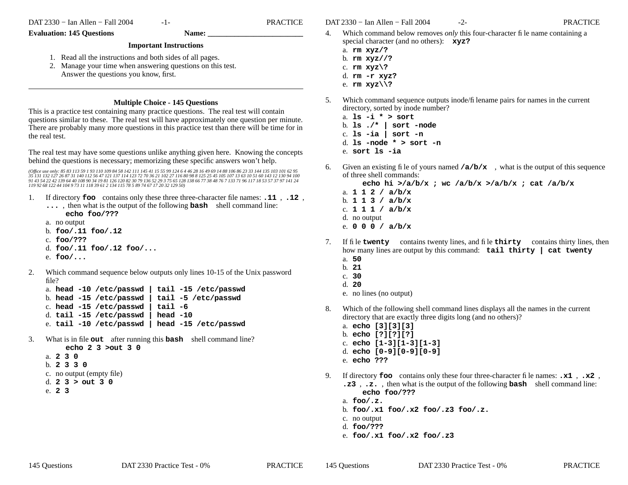-1- PRACTICE

#### **Evaluation: 145 Questions Name:**

#### **Important Instructions**

- 1. Read all the instructions and both sides of all pages.
- 2. Manage your time when answering questions on this test. Answer the questions you know, first.

### **Multiple Choice - 145 Questions**

This is a practice test containing many practice questions. The real test will contain questions similar to these. The real test will have approximately one question per minute. There are probably many more questions in this practice test than there will be time for in the real test.

The real test may have some questions unlike anything given here. Knowing the concepts behind the questions is necessary; memorizing these specific answers won't help.

(Office use only: 85 83 113 59 1 93 110 109 84 58 142 111 145 41 15 55 99 124 6 4 46 28 16 49 69 14 88 106 86 23 33 144 135 103 101 62 95<br>35 131 132 127 26 87 31 140 112 56 47 121 137 114 123 72 70 36 21 102 27 116 80 98 8

- 1. If directory **foo** contains only these three three-character file names: **.11** , **.12** , **...** , then what is the output of the following **bash** shell command line:
	- **echo foo/???**
	- a. no output
	- b. **foo/.11 foo/.12**
	- c. **foo/???**
	- d. **foo/.11 foo/.12 foo/...**
	- e. **foo/...**
- 2. Which command sequence below outputs only lines 10-15 of the Unix password file?

|  |                                       | a. head -10 /etc/passwd   tail -15 /etc/passwd |
|--|---------------------------------------|------------------------------------------------|
|  |                                       | b. head -15 /etc/passwd   tail -5 /etc/passwd  |
|  | c. head $-15$ /etc/passwd   tail $-6$ |                                                |
|  | d. tail -15 /etc/passwd   head -10    |                                                |
|  |                                       | e. tail -10 /etc/passwd   head -15 /etc/passwd |

- 3. What is in file **out** after running this **bash** shell command line?
	- **echo 2 3 >out 3 0**a. **230**b. **2330**c. no output (empty file) d. **23> out 3 0**

DAT 2330 − Ian Allen − Fall 2004 -2- PRACTICE

- 4. Which command below removes *only* this four-character file name containing a special character (and no others): **xyz?**
	- a. **rm xyz/?**
	- b. **rm xyz//?**
	- c. **rm xyz\?**
	- d. **rm -r xyz?**
	- e. **rm xyz\\?**
- 5. Which command sequence outputs inode/filename pairs for names in the current directory, sorted by inode number?
	- a. **ls -i \* > sort**
	- b. **ls ./\* | sort -node** c. **ls -ia | sort -n**
	- d. **ls -node \* > sort -n**
	- e. **sort ls -ia**
- 6. Given an existing file of yours named  $\angle a/b/x$ , what is the output of this sequence of three shell commands:

**echo hi >/a/b/x ; wc /a/b/x >/a/b/x ; cat /a/b/x**

- a. **112/ a/b/x** b. **113/ a/b/x** c. **111/ a/b/x** d. no output
- e. **000/ a/b/x**
- 7. If file **twenty** contains twenty lines, and file **thirty** contains thirty lines, then how many lines are output by this command: **tail thirty | cat twenty** a. **50**
	- b. **21**
	- c. **30**
	- d. **20**
	- e. no lines (no output)
- 8. Which of the following shell command lines displays all the names in the current directory that are exactly three digits long (and no others)?
	- a. **echo [3][3][3]**
	- b. **echo [?][?][?]**
	- c. **echo [1-3][1-3][1-3]**
	- d. **echo [0-9][0-9][0-9]**
	- e. **echo ???**
- 9. If directory **foo** contains only these four three-character file names: **.x1** , **.x2** , **.z3** , **.z.** , then what is the output of the following **bash** shell command line: **echo foo/???**
	- a. **foo/.z.**
	- b. **foo/.x1 foo/.x2 foo/.z3 foo/.z.**
	- c. no output
	- d. **foo/???**
	- e. **foo/.x1 foo/.x2 foo/.z3**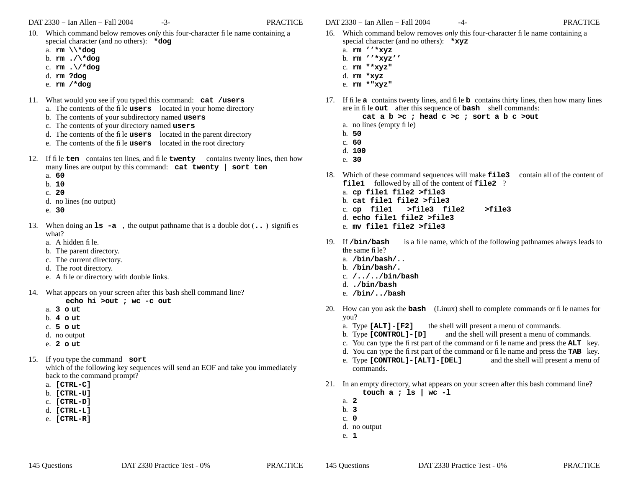- 10. Which command below removes *only* this four-character file name containing a special character (and no others): **\*dog**
	- a. **rm \\\*dog**
	- b. **rm ./\\*dog**
	- c. **rm .\/\*dog**
	- d. **rm ?dog**
	- e. **rm /\*dog**
- 11. What would you see if you typed this command: **cat /users** a. The contents of the file **users** located in your home directory
	- b. The contents of your subdirectory named **users**
	- c. The contents of your directory named **users**
	- d. The contents of the file **users** located in the parent directory
	- e. The contents of the file **users** located in the root directory
- 12. If file **ten** contains ten lines, and file **twenty** contains twenty lines, then how many lines are output by this command: **cat twenty | sort ten**
	- a. **60**
	- b. **10**
	- c. **20**
	- d. no lines (no output)
	- e. **30**
- 13. When doing an **ls -a** , the output pathname that is a double dot (**..** ) signifies what?
	- a. A hidden file.
	- b. The parent directory.
	- c. The current directory.
	- d. The root directory.
	- e. A file or directory with double links.
- 14. What appears on your screen after this bash shell command line?

# **echo hi >out ; wc -c out**

- a. **3 <sup>o</sup> ut**
- b. **4 <sup>o</sup> ut**
- c. **5 o ut**
- d. no output
- e. **2 <sup>o</sup> ut**
- 15. If you type the command **sort** which of the following key sequences will send an EOF and take you immediately back to the command prompt?
	- a. **[CTRL-C]**
	- b. **[CTRL-U]**
	- c. **[CTRL-D]**
	- d. **[CTRL-L]**
	- e. **[CTRL-R]**

DAT 2330 − Ian Allen − Fall 2004 -4- PRACTICE

- 16. Which command below removes *only* this four-character file name containing a special character (and no others): **\*xyz**
	- a. **rm ''\*xyz**
	- b. **rm ''\*xyz''**
	- c. **rm "\*xyz"**
	- d. **rm \*xyz**
	- e. **rm \*"xyz"**
- 17. If file **a** contains twenty lines, and file **b** contains thirty lines, then how many lines are in file **out** after this sequence of **bash** shell commands:

**cat a b >c ; head c >c ; sort a b c >out**

- a. no lines (empty file)
- b. **50**
- c. **60**
- d. **100**
- e. **30**
- 18. Which of these command sequences will make **file3** contain all of the content of **file1** followed by all of the content of **file2** ?
	- a. **cp file1 file2 >file3**
	- b. **cat file1 file2 >file3**
	- c. **cp file1 >file3 file2 >file3**
	- d. **echo file1 file2 >file3**
	- e. **mv file1 file2 >file3**
- 19. If /bin/bash is a file name, which of the following pathnames always leads to the same file?
	- a. **/bin/bash/..**
	- b. **/bin/bash/.**
	- c. **/../../bin/bash**
	- d. **./bin/bash**
	- e. **/bin/../bash**
- 20. How can you ask the **bash** (Linux) shell to complete commands or file names for you?
	- a. Type **[ALT]-[F2]** the shell will present a menu of commands.
	- b. Type **[CONTROL]-[D]** and the shell will present a menu of commands.
	- c. You can type the first part of the command or file name and press the **ALT** key.
	- d. You can type the first part of the command or file name and press the **TAB** key.
	- e. Type **[CONTROL]-[ALT]-[DEL]** and the shell will present a menu of commands.
- 21. In an empty directory, what appears on your screen after this bash command line? **touch a ; ls | wc -l**
	- a. **2**
	- b. **3**
	- c. **0**
	- d. no output
	- e. **1**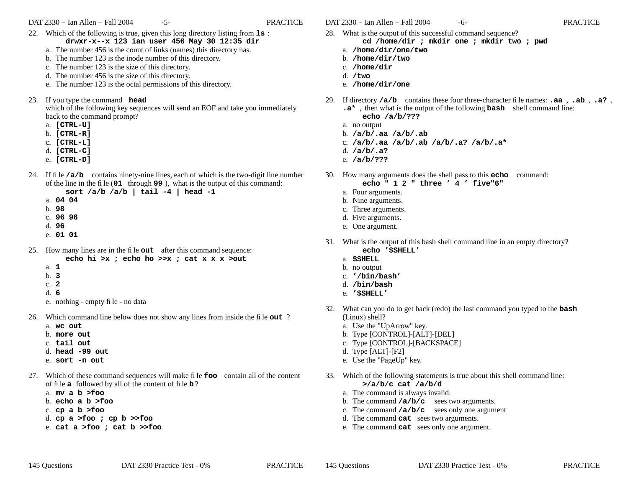DAT 2330 − Ian Allen − Fall 2004 -5- FRACTICE

- 22. Which of the following is true, given this long directory listing from **ls** : **drwxr-x--x 123 ian user 456 May 30 12:35 dir**
	- a. The number 456 is the count of links (names) this directory has.
	- b. The number 123 is the inode number of this directory.
	- c. The number 123 is the size of this directory.
	- d. The number 456 is the size of this directory.
	- e. The number 123 is the octal permissions of this directory.
- 23. If you type the command **head**

which of the following key sequences will send an EOF and take you immediately back to the command prompt?

- a. **[CTRL-U]**
- b. **[CTRL-R]**
- c. **[CTRL-L]**
- d. **[CTRL-C]**
- e. **[CTRL-D]**
- 24. If file **/a/b** contains ninety-nine lines, each of which is the two-digit line number of the line in the file (**<sup>01</sup>** through **99** ), what is the output of this command:
	- **sort /a/b /a/b | tail -4 | head -1**
	- a. **04 04**
	- b. **98**
	- c. **96 96**
	- d. **96**
	- e. **01 01**
- 25. How many lines are in the file **out** after this command sequence: **echo hi >x ; echo ho >>x ; cat x x x >out**
	- a. **1**
	- b. **3**
	- c. **2**
	- d. **6**
	- e. nothing empty file no data
- 26. Which command line below does not show any lines from inside the file **out** ?
	- a. **wc out**
	- b. **more out**
	- c. **tail out**
	- d. **head -99 out**
	- e. **sort -n out**
- 27. Which of these command sequences will make file **foo** contain all of the content of file **a** followed by all of the content of file **b** ?
	- a. **mv a b >foo**
	- b. **echo a b >foo**
	- c. **cp a b >foo**
	- d. **cp a >foo ; cp b >>foo**
	- e. **cat a >foo ; cat b >>foo**
- DAT 2330 − Ian Allen − Fall 2004 -6- contractive property of the PRACTICE
	- 28. What is the output of this successful command sequence? **cd /home/dir ; mkdir one ; mkdir two ; pwd**
		- a. **/home/dir/one/two**
		- b. **/home/dir/two**
		- c. **/home/dir**
		- d. **/two** e. **/home/dir/one**
- 29. If directory **/a/b** contains these four three-character file names: **.aa** , **.ab** , **.a?** , **.a\*** , then what is the output of the following **bash** shell command line: **echo /a/b/???**
	- a. no output
	- b. **/a/b/.aa /a/b/.ab**
	- c. **/a/b/.aa /a/b/.ab /a/b/.a? /a/b/.a\***
	- d. **/a/b/.a?**
	- e. **/a/b/???**
- 30. How many arguments does the shell pass to this **echo** command:

## **echo " 1 2 " three ' 4 ' five"6"**

- a. Four arguments.
- b. Nine arguments.
- c. Three arguments.
- d. Five arguments.
- e. One argument.
- 31. What is the output of this bash shell command line in an empty directory? **echo '\$SHELL'**
	- a. **\$SHELL**
	- b. no output
	- c. **'/bin/bash'**
	- d. **/bin/bash**
	- e. **'\$SHELL'**
- 32. What can you do to get back (redo) the last command you typed to the **bash** (Linux) shell?
	- a. Use the "UpArrow" key.
	- b. Type [CONTROL]-[ALT]-[DEL]
	- c. Type [CONTROL]-[BACKSPACE]
	- d. Type [ALT]-[F2]
	- e. Use the "PageUp" key.
- 33. Which of the following statements is true about this shell command line: **>/a/b/c cat /a/b/d**
	- a. The command is always invalid.
	- b. The command **/a/b/c** sees two arguments.
	- c. The command **/a/b/c** sees only one argument
	- d. The command **cat** sees two arguments.
	- e. The command **cat** sees only one argument.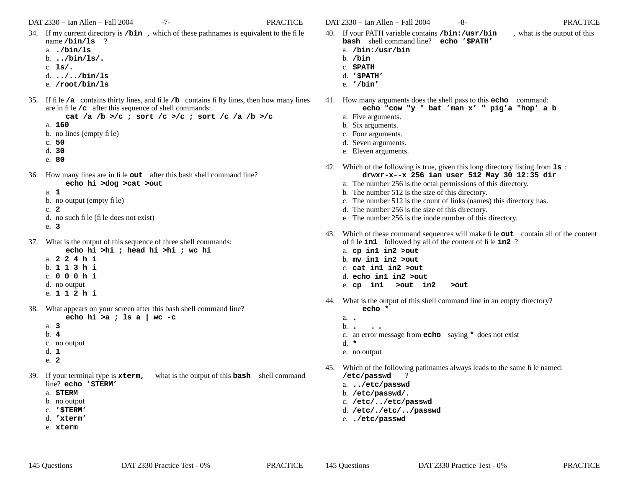DAT 2330 − Ian Allen − Fall 2004 -7- PRACTICE

- 34. If my current directory is **/bin** , which of these pathnames is equivalent to the file name **/bin/ls** ?
	- a. **./bin/ls**
	- b. **../bin/ls/.**
	- c. **ls/.**
	- d. **../../bin/ls**
	- e. **/root/bin/ls**
- 35. If file **/a** contains thirty lines, and file **/b** contains fifty lines, then how many lines are in file **/c** after this sequence of shell commands:

**cat /a /b >/c ; sort /c >/c ; sort /c /a /b >/c**

- a. **160**
- b. no lines (empty file)
- c. **50**
- d. **30**
- e. **80**
- 36. How many lines are in file **out** after this bash shell command line? **echo hi >dog >cat >out**
	- a. **1**
	- b. no output (empty file)
	- c. **2**
	- d. no such file (file does not exist)
	- e. **3**
- 37. What is the output of this sequence of three shell commands:
	- **echo hi >hi ; head hi >hi ; wc hi**
	- a. **224h i**
	- b. **113h i**
	- c. **000h i**
	- d. no output e. **112h i**
- 38. What appears on your screen after this bash shell command line?

**echo hi >a ; ls a | wc -c**

- b. **4**
- c. no output
- d. **1**

a. **3**

- e. **2**
- 39. If your terminal type is **xterm,** what is the output of this **bash** shell command line? **echo '\$TERM'**
	- a. **\$TERM**
	- b. no output
	- c. **'\$TERM'**
	- d. **'xterm'**
	- e. **xterm**

DAT 2330 − Ian Allen − Fall 2004 -8- PRACTICE

- 40. If your PATH variable contains **/bin:/usr/bin** , what is the output of this **bash** shell command line? **echo '\$PATH'**
	- a. **/bin:/usr/bin**
	- b. **/bin**
	- c. **\$PATH**
	- d. **'\$PATH'** e. **'/bin'**
- 41. How many arguments does the shell pass to this **echo** command: **echo "cow "y " bat 'man x' " pig'a "hop' a b**
	- a. Five arguments.
	- b. Six arguments.
	- c. Four arguments.
	- d. Seven arguments.
	- e. Eleven arguments.
- 42. Which of the following is true, given this long directory listing from **ls** : **drwxr-x--x 256 ian user 512 May 30 12:35 dir**
	- a. The number 256 is the octal permissions of this directory.
	- b. The number 512 is the size of this directory.
	- c. The number 512 is the count of links (names) this directory has.
	- d. The number 256 is the size of this directory.
	- e. The number 256 is the inode number of this directory.
- 43. Which of these command sequences will make file **out** contain all of the content of file **in1** followed by all of the content of file **in2** ?
	- a. **cp in1 in2 >out**
	- b. **mv in1 in2 >out**
	- c. **cat in1 in2 >out**
	- d. **echo in1 in2 >out**
	- e. **cp in1 >out in2 >out**
- 44. What is the output of this shell command line in an empty directory? **echo \***
	- a. **.** $b.$ . **. . .** c. an error message from **echo** saying **\*** does not exist d. **\***e. no output
- 45. Which of the following pathnames always leads to the same file named: **/etc/passwd** ?
	- a. **../etc/passwd**
	- b. **/etc/passwd/.**
	- c. **/etc/../etc/passwd**
	- d. **/etc/./etc/../passwd**
	- e. **./etc/passwd**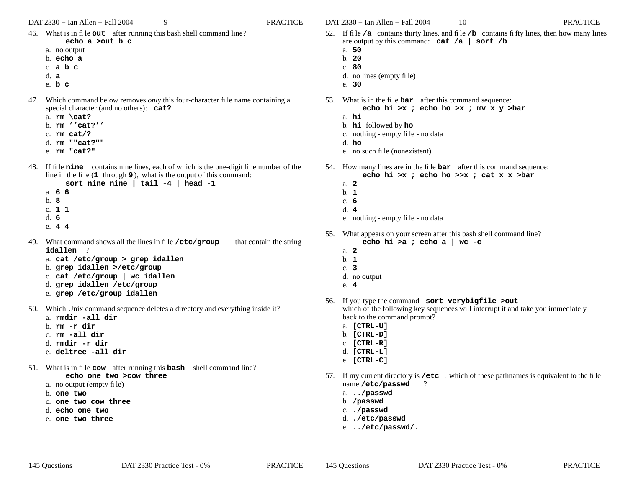DAT 2330 − Ian Allen − Fall 2004 -9- PRACTICE

- 46. What is in file **out** after running this bash shell command line? **echo a >out b c**
	-
	- a. no output b. **echo a**
	- c. **abc**
	- d. **a**
	- e. **b <sup>c</sup>**
- 47. Which command below removes *only* this four-character file name containing a special character (and no others): **cat?**
	- a. **rm \cat?**
	- b. **rm ''cat?''**
	- c. **rm cat/?**
	- d. **rm ""cat?""**
	- e. **rm "cat?"**
- 48. If file **nine** contains nine lines, each of which is the one-digit line number of the line in the file (**<sup>1</sup>** through **9** ), what is the output of this command:
	- **sort nine nine | tail -4 | head -1** a. **6 6**
	- b. **8**c. **1 1** d. **6**
	- e. **4 4**
- 49. What command shows all the lines in filethat contain the string **idallen** ?
	- a. **cat /etc/group > grep idallen**
	- b. **grep idallen >/etc/group**
	- c. **cat /etc/group | wc idallen**
	- d. **grep idallen /etc/group**
	- e. **grep /etc/group idallen**
- 50. Which Unix command sequence deletes a directory and everything inside it?
	- a. **rmdir -all dir**
	- b. **rm -r dir**
	- c. **rm -all dir**
	- d. **rmdir -r dir**
	- e. **deltree -all dir**
- 51. What is in file **cow** after running this **bash** shell command line? **echo one two >cow three**
	- a. no output (empty file)
	- b. **one two**
	- c. **one two cow three**
	- d. **echo one two**
	- e. **one two three**

DAT 2330 − Ian Allen − Fall 2004 -10- PRACTICE

- 52. If file **/a** contains thirty lines, and file **/b** contains fifty lines, then how many lines are output by this command: **cat /a | sort /b**
	- a. **50**
	- b. **20**
	- c. **80**
	- d. no lines (empty file)
	- e. **30**
- 53. What is in the file **bar** after this command sequence: **echo hi >x ; echo ho >x ; mv x y >bar**
	- a. **hi**
	- b. **hi** followed by **ho**
	- c. nothing empty file no data
	- d. **ho**
	- e. no such file (nonexistent)
- 54. How many lines are in the file **bar** after this command sequence: **echo hi >x ; echo ho >>x ; cat x x >bar**
	- a. **2**
	- b. **1**
	- c. **6**
	- d. **4**
	- e. nothing empty file no data
- 55. What appears on your screen after this bash shell command line? **echo hi >a ; echo a | wc -c**
	- a. **2**
	- b. **1**
	- c. **3**
	- d. no output
	- e. **4**
- 56. If you type the command **sort verybigfile >out** which of the following key sequences will interrupt it and take you immediately back to the command prompt?
	- a. **[CTRL-U]**
	- b. **[CTRL-D]**
	- c. **[CTRL-R]**
	- d. **[CTRL-L]**
	- e. **[CTRL-C]**
- 57. If my current directory is **/etc** , which of these pathnames is equivalent to the file name **/etc/passwd** ?
	- a. **../passwd**
	- b. **/passwd**
	- c. **./passwd**
	- d. **./etc/passwd**
	- e. **../etc/passwd/.**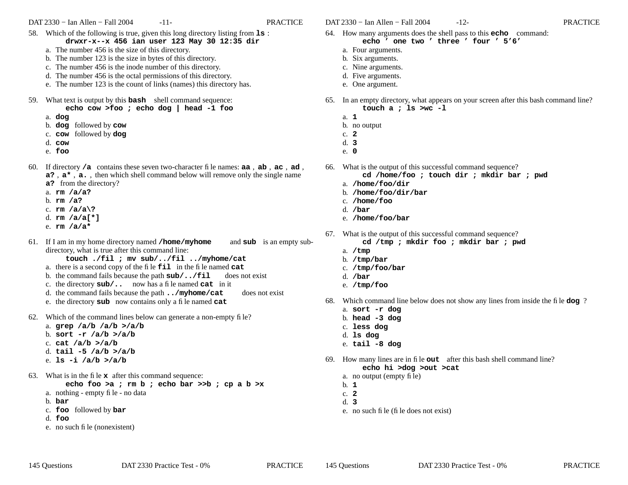DAT 2330 − Ian Allen − Fall 2004 -11- PRACTICE

- 58. Which of the following is true, given this long directory listing from **ls** : **drwxr-x--x 456 ian user 123 May 30 12:35 dir**
	- a. The number 456 is the size of this directory.
	- b. The number 123 is the size in bytes of this directory.
	- c. The number 456 is the inode number of this directory.
	- d. The number 456 is the octal permissions of this directory.
	- e. The number 123 is the count of links (names) this directory has.
- 59. What text is output by this **bash** shell command sequence: **echo cow >foo ; echo dog | head -1 foo**
	- a. **dog**
	- b. **dog** followed by **cow**
	- c. **cow** followed by **dog**
	- d. **cow**
	- e. **foo**
- 60. If directory **/a** contains these seven two-character file names: **aa** , **ab** , **ac** , **ad** , **a?** , **<sup>a</sup>\*** , **a.** , then which shell command below will remove only the single name **a?** from the directory?
	- a. **rm /a/a?**
	- b. **rm /a?**
	- c. **rm /a/a\?**
	- d. **rm /a/a[\*]**
	- e. **rm /a/a\***
- 61. If I am in my home directory named **/home/myhome** and **sub** is an empty subdirectory, what is true after this command line:
	- **touch ./fil ; mv sub/../fil ../myhome/cat**
	- a. there is a second copy of the file **fil** in the file named **cat**
	- b. the command fails because the path **sub/../fil** does not exist
	- c. the directory **sub/..** now has a file named **cat** in it
	- d. the command fails because the path **../myhome/cat** does not exist
	- e. the directory **sub** now contains only a file named **cat**
- 62. Which of the command lines below can generate a non-empty file?
	- a. **grep /a/b /a/b >/a/b**
	- b. **sort -r /a/b >/a/b**
	- c. **cat /a/b >/a/b**
	- d. **tail -5 /a/b >/a/b**
	- e. **ls -i /a/b >/a/b**
- 63. What is in the file **x** after this command sequence:

**echo foo >a ; rm b ; echo bar >>b ; cp a b >x**

- a. nothing empty file no data
- b. **bar**
- c. **foo** followed by **bar**
- d. **foo**
- e. no such file (nonexistent)

DAT 2330 − Ian Allen − Fall 2004 -12- PRACTICE

- 64. How many arguments does the shell pass to this **echo** command: **echo ' one two ' three ' four ' 5'6'**
	- a. Four arguments.
	- b. Six arguments.
	- c. Nine arguments.
	- d. Five arguments.
	- e. One argument.
- 65. In an empty directory, what appears on your screen after this bash command line? **touch a ; ls >wc -l**
	- a. **1**
	- b. no output
	- c. **2**
	- d. **3**
	- e. **0**
- 66. What is the output of this successful command sequence?
	- **cd /home/foo ; touch dir ; mkdir bar ; pwd**
	- a. **/home/foo/dir**
	- b. **/home/foo/dir/bar**
	- c. **/home/foo**
	- d. **/bar**
	- e. **/home/foo/bar**
- 67. What is the output of this successful command sequence?
	- **cd /tmp ; mkdir foo ; mkdir bar ; pwd**
	- a. **/tmp**
	- b. **/tmp/bar**
	- c. **/tmp/foo/bar**
	- d. **/bar**
	- e. **/tmp/foo**
- 68. Which command line below does not show any lines from inside the file **dog** ?
	- a. **sort -r dog**
	- b. **head -3 dog**
	- c. **less dog**
	- d. **ls dog**
	- e. **tail -8 dog**
- 69. How many lines are in file **out** after this bash shell command line? **echo hi >dog >out >cat**
	- a. no output (empty file)
	- b. **1**
	- c. **2**
	- d. **3**
	- e. no such file (file does not exist)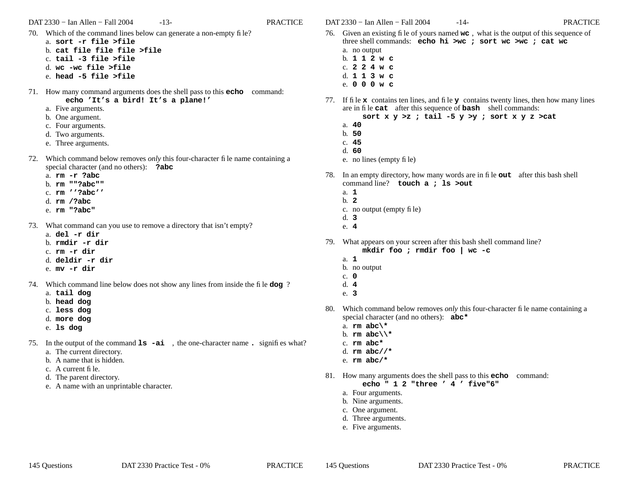DAT 2330 − Ian Allen − Fall 2004 -13- PRACTICE

- 70. Which of the command lines below can generate a non-empty file?
	- a. **sort -r file >file**
	- b. **cat file file file >file**
	- c. **tail -3 file >file**
	- d. **wc -wc file >file**
	- e. **head -5 file >file**
- 71. How many command arguments does the shell pass to this **echo** command: **echo 'It's a bird! It's a plane!'**
	- a. Five arguments.
	- b. One argument.
	- c. Four arguments.
	- d. Two arguments.
	- e. Three arguments.
- 72. Which command below removes *only* this four-character file name containing a special character (and no others): **?abc**
	- a. **rm -r ?abc**
	- b. **rm ""?abc""**
	- c. **rm ''?abc''**
	- d. **rm /?abc**
	- e. **rm "?abc"**
- 73. What command can you use to remove a directory that isn't empty?
	- a. **del -r dir**
	- b. **rmdir -r dir**
	- c. **rm -r dir**
	- d. **deldir -r dir**
	- e. **mv -r dir**
- 74. Which command line below does not show any lines from inside the file **dog** ?
	- a. **tail dog**
	- b. **head dog**
	- c. **less dog**
	- d. **more dog**
	- e. **ls dog**
- 75. In the output of the command **ls -ai** , the one-character name **.** signifies what? a. The current directory.
	- b. A name that is hidden.
	- c. A current file.
	- d. The parent directory.
	- e. A name with an unprintable character.

DAT 2330 − Ian Allen − Fall 2004 -14- PRACTICE

- 76. Given an existing file of yours named **wc** , what is the output of this sequence of three shell commands: **echo hi >wc ; sort wc >wc ; cat wc** a. no output b. **112w c**
	- c. **224w c**
	- d. **113w c**
	- e. **000w c**
- 77. If file **x** contains ten lines, and file **<sup>y</sup>** contains twenty lines, then how many lines are in file **cat** after this sequence of **bash** shell commands:
	- **sort x y >z ; tail -5 y >y ; sort x y z >cat**
	- a. **40**
	- b. **50**
	- c. **45**
	- d. **60**
	- e. no lines (empty file)
- 78. In an empty directory, how many words are in file **out** after this bash shell command line? **touch a ; ls >out**
	- a. **1**
	- b. **2**
	- c. no output (empty file)
	- d. **3**
	- e. **4**
- 79. What appears on your screen after this bash shell command line?
	- **mkdir foo ; rmdir foo | wc -c**
	- a. **1**
	- b. no output
	- c. **0**
	- d. **4**
	- e. **3**
- 80. Which command below removes *only* this four-character file name containing a special character (and no others): **abc\***
	- a. **rm abc\\***
	- b. **rm abc\\\***
	- c. **rm abc\***
	- d. **rm abc//\***
	- e. **rm abc/\***
- 81. How many arguments does the shell pass to this **echo** command:

**echo " 1 2 "three ' 4 ' five"6"**

- a. Four arguments.
- b. Nine arguments.
- c. One argument.
- d. Three arguments.
- e. Five arguments.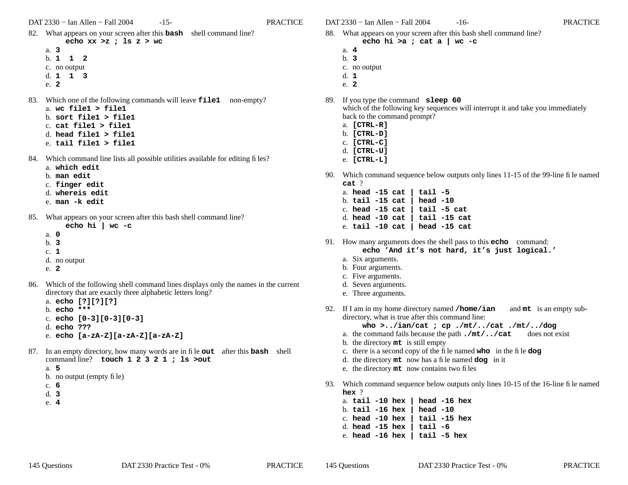- 82. What appears on your screen after this **bash** shell command line? **echo xx >z ; ls z > wc**
	- a. **3**b. **112**c. no output
	- d. **113**
	- e. **2**
- 83. Which one of the following commands will leave **file1** non-empty? a. **wc file1 > file1**
	- b. **sort file1 > file1**
	- c. **cat file1 > file1**
	- d. **head file1 > file1**
	- e. **tail file1 > file1**
- 84. Which command line lists all possible utilities available for editing files?
	- a. **which edit**
	- b. **man edit**
	- c. **finger edit**
	- d. **whereis edit**
	- e. **man -k edit**
- 85. What appears on your screen after this bash shell command line?
	- **echo hi | wc -c**
	- a. **0**b. **3**c. **1**d. no output
	- e. **2**
- 86. Which of the following shell command lines displays only the names in the current directory that are exactly three alphabetic letters long?
	- a. **echo [?][?][?]**
	- b. **echo \*\*\***c. **echo [0-3][0-3][0-3]**
	- d. **echo ???**
	- e. **echo [a-zA-Z][a-zA-Z][a-zA-Z]**
- 87. In an empty directory, how many words are in file **out** after this **bash** shell command line? **touch 1 2 3 2 1 ; ls >out**
	- a. **5**
	- b. no output (empty file)
	- c. **6**
	- d. **3**
	- e. **4**

DAT 2330 − Ian Allen − Fall 2004 -16- PRACTICE

- 88. What appears on your screen after this bash shell command line? **echo hi >a ; cat a | wc -c**
	- a. **4**
		- b. **3**c. no output
	- d. **1**
	- e. **2**

89. If you type the command **sleep 60** which of the following key sequences will interrupt it and take you immediately back to the command prompt?

- a. **[CTRL-R]**
- b. **[CTRL-D]**
- c. **[CTRL-C]**
- d. **[CTRL-U]**
- e. **[CTRL-L]**
- 90. Which command sequence below outputs only lines 11-15 of the 99-line file named **cat** ?
	- a. **head -15 cat | tail -5** b. **tail -15 cat | head -10** c. **head -15 cat | tail -5 cat** d. **head -10 cat | tail -15 cat** e. **tail -10 cat | head -15 cat**
- 91. How many arguments does the shell pass to this **echo** command: **echo 'And it's not hard, it's just logical.'**
	- a. Six arguments.
	- b. Four arguments.
	- c. Five arguments.
	- d. Seven arguments.
	- e. Three arguments.
- 92. If I am in my home directory named **/home/ian** and **mt** is an empty subdirectory, what is true after this command line:

**who >../ian/cat ; cp ./mt/../cat ./mt/../dog**

- a. the command fails because the path **./mt/../cat** does not exist
- b. the directory **mt** is still empty
- c. there is a second copy of the file named **who** in the file **dog**
- d. the directory **mt** now has a file named **dog** in it
- e. the directory **mt** now contains two files
- 93. Which command sequence below outputs only lines 10-15 of the 16-line file named **hex** ?

a. **tail -10 hex | head -16 hex** b. **tail -16 hex | head -10** c. **head -10 hex | tail -15 hex** d. **head -15 hex | tail -6** e. **head -16 hex | tail -5 hex**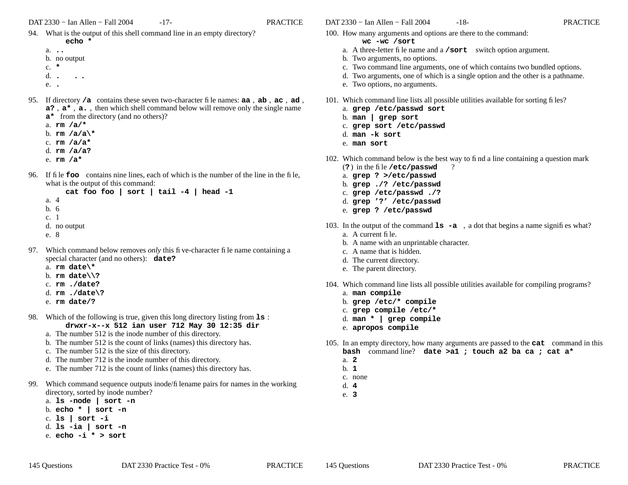- 94. What is the output of this shell command line in an empty directory?
	- **echo \***a. **..**
	- b. no output
	- c. **\***
	- d.**. . .**
	- e. **.**
- 95. If directory **/a** contains these seven two-character file names: **aa** , **ab** , **ac** , **ad** , **a?** , **<sup>a</sup>\*** , **a.** , then which shell command below will remove only the single name

**a\*** from the directory (and no others)?

- a. **rm /a/\***
- b. **rm /a/a\\***
- c. **rm /a/a\***
- d. **rm /a/a?**
- e. **rm /a\***
- 96. If file **foo** contains nine lines, each of which is the number of the line in the file, what is the output of this command:

```
cat foo foo | sort | tail -4 | head -1
a. 4b. 6c. 1d. no output
e. 8
```
- 97. Which command below removes *only* this five-character file name containing a special character (and no others): **date?**
	- a. **rm date\\***
	- b. **rm date\\?**
	- c. **rm ./date?**
	- d. **rm ./date\?**
	- e. **rm date/?**
- 98. Which of the following is true, given this long directory listing from **ls** : **drwxr-x--x 512 ian user 712 May 30 12:35 dir**
	- a. The number 512 is the inode number of this directory.
	- b. The number 512 is the count of links (names) this directory has.
	- c. The number 512 is the size of this directory.
	- d. The number 712 is the inode number of this directory.
	- e. The number 712 is the count of links (names) this directory has.
- 99. Which command sequence outputs inode/filename pairs for names in the working directory, sorted by inode number?
	- a. **ls -node | sort -n**
	- b. **echo \* | sort -n**
	- c. **ls | sort -i**
	- d. **ls -ia | sort -n** e. **echo -i \* > sort**
- DAT 2330 − Ian Allen − Fall 2004 -18- PRACTICE
- 100. How many arguments and options are there to the command:
	- **wc -wc /sort**
	- a. A three-letter file name and a **/sort** switch option argument.
	- b. Two arguments, no options.
	- c. Two command line arguments, one of which contains two bundled options.
	- d. Two arguments, one of which is a single option and the other is a pathname.
	- e. Two options, no arguments.
- 101. Which command line lists all possible utilities available for sorting files?
	- a. **grep /etc/passwd sort**
	- b. **man | grep sort**
	- c. **grep sort /etc/passwd**
	- d. **man -k sort**
	- e. **man sort**
- 102. Which command below is the best way to find a line containing a question mark (**?** ) in the file **/etc/passwd** ?
	- a. **grep ? >/etc/passwd**
	- b. **grep ./? /etc/passwd**
	- c. **grep /etc/passwd ./?**
	- d. **grep '?' /etc/passwd**
	- e. **grep ? /etc/passwd**
- 103. In the output of the command **ls -a** , <sup>a</sup> dot that begins a name signifies what?
	- a. A current file.
	- b. A name with an unprintable character.
	- c. A name that is hidden.
	- d. The current directory.
	- e. The parent directory.
- 104. Which command line lists all possible utilities available for compiling programs?
	- a. **man compile**
	- b. **grep /etc/\* compile**
	- c. **grep compile /etc/\***
	- d. **man \* | grep compile**
	- e. **apropos compile**
- 105. In an empty directory, how many arguments are passed to the **cat** command in this **bash** command line? **date >a1 ; touch a2 ba ca ; cat a\***
	- a. **2**
	- b. **1**
	- c. none
	- d. **4**
	- e. **3**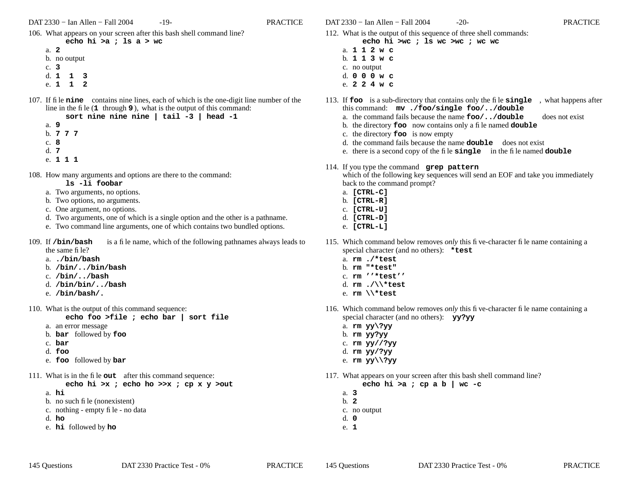106. What appears on your screen after this bash shell command line?

#### **echo hi >a ; ls a > wc**

- a. **2**b. no output c. **3**d. **113**e. **112**
- 107. If file **nine** contains nine lines, each of which is the one-digit line number of the line in the file (**<sup>1</sup>** through **9** ), what is the output of this command:

|      |        |  |  | sort nine nine nine   tail $-3$   head $-1$ |  |  |
|------|--------|--|--|---------------------------------------------|--|--|
| a. 9 |        |  |  |                                             |  |  |
|      | b. 777 |  |  |                                             |  |  |
| c. 8 |        |  |  |                                             |  |  |
| d. 7 |        |  |  |                                             |  |  |
|      | $-1$   |  |  |                                             |  |  |

- e. **111**
- 108. How many arguments and options are there to the command:

## **ls -li foobar**

- a. Two arguments, no options.
- b. Two options, no arguments.
- c. One argument, no options.
- d. Two arguments, one of which is a single option and the other is a pathname.
- e. Two command line arguments, one of which contains two bundled options.
- 109. If /bin/bash is a file name, which of the following pathnames always leads to the same file?
	- a. **./bin/bash**
	- b. **/bin/../bin/bash**
	- c. **/bin/../bash**
	- d. **/bin/bin/../bash**
	- e. **/bin/bash/.**
- 110. What is the output of this command sequence:
	- **echo foo >file ; echo bar | sort file**
	- a. an error message
	- b. **bar** followed by **foo**
	- c. **bar**
	- d. **foo**
	- e. **foo** followed by **bar**
- 111. What is in the file **out** after this command sequence:

**echo hi >x ; echo ho >>x ; cp x y >out**

- a. **hi**
- b. no such file (nonexistent)
- c. nothing empty file no data
- d. **ho**
- e. **hi** followed by **ho**

DAT 2330 − Ian Allen − Fall 2004 -20- PRACTICE

- 112. What is the output of this sequence of three shell commands:
	- **echo hi >wc ; ls wc >wc ; wc wc** a. **112w c**
	- b. **113w c** c. no output
	- d. **000w c**
	- e. **224w c**
- 113. If **foo** is a sub-directory that contains only the file **single** , what happens after this command: **mv ./foo/single foo/../double**
	- a. the command fails because the name **foo/../double** does not exist
	- b. the directory **foo** now contains only a file named **double**
	- c. the directory **foo** is now empty
	- d. the command fails because the name **double** does not exist
	- e. there is a second copy of the file **single** in the file named **double**
- 114. If you type the command **grep pattern**

which of the following key sequences will send an EOF and take you immediately back to the command prompt?

- a. **[CTRL-C]**
- b. **[CTRL-R]**
- c. **[CTRL-U]**
- d. **[CTRL-D]**
- e. **[CTRL-L]**
- 115. Which command below removes *only* this five-character file name containing a special character (and no others): **\*test**
	- a. **rm ./\*test**
	- b. **rm "\*test"**
	- c. **rm ''\*test''**
	- d. **rm ./\\\*test**
	- e. **rm \\\*test**
- 116. Which command below removes *only* this five-character file name containing a special character (and no others): **yy?yy**
	- a. **rm yy\?yy**
	- b. **rm yy?yy**
	- c. **rm yy//?yy**
	- d. **rm yy/?yy**
	- e. **rm yy\\?yy**
- 117. What appears on your screen after this bash shell command line?

**echo hi >a ; cp a b | wc -c**

- a. **3**
- b. **2**
- c. no output
- d. **0**
- e. **1**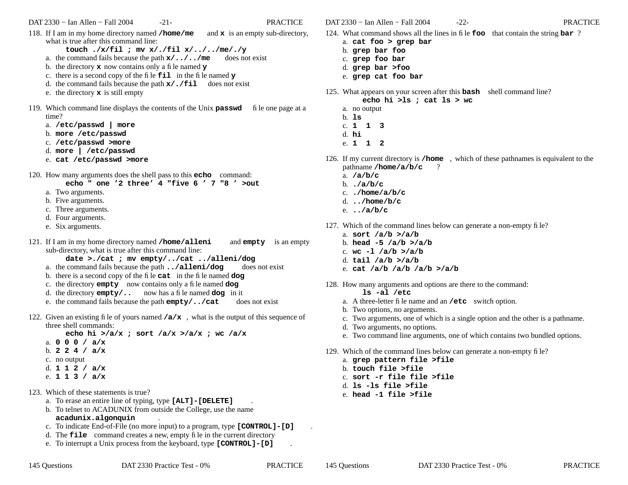**touch ./x/fil ; mv x/./fil x/../../me/./y**

- a. the command fails because the path **x/../../me** does not exist
- b. the directory **x** now contains only a file named **y**
- c. there is a second copy of the file **fil** in the file named **y**
- d. the command fails because the path **x/./fil** does not exist
- e. the directory **x** is still empty
- 119. Which command line displays the contents of the Unix **passwd** file one page at a time?
	- a. **/etc/passwd | more**
	- b. **more /etc/passwd**
	- c. **/etc/passwd >more**
	- d. **more | /etc/passwd**
	- e. **cat /etc/passwd >more**
- 120. How many arguments does the shell pass to this **echo** command:
	- **echo " one '2 three' 4 "five 6 ' 7 "8 ' >out**
	- a. Two arguments.
	- b. Five arguments.
	- c. Three arguments.
	- d. Four arguments.
	- e. Six arguments.
- 121. If I am in my home directory named **/home/alleni** and **empty** is an empty sub-directory, what is true after this command line:

**date >./cat ; mv empty/../cat ../alleni/dog**

- a. the command fails because the path **../alleni/dog** does not exist
- b. there is a second copy of the file **cat** in the file named **dog**
- c. the directory **empty** now contains only a file named **dog**
- d. the directory **empty/..** now has a file named **dog** in it
- e. the command fails because the path **empty/../cat** does not exist
- 122. Given an existing file of yours named **/a/x** , what is the output of this sequence of three shell commands:

**echo hi >/a/x ; sort /a/x >/a/x ; wc /a/x**

- a. **000/ a/x**
- b. **224/ a/x**
- c. no output
- d. **112/ a/x**
- e. **113/ a/x**
- 123. Which of these statements is true?
	- a. To erase an entire line of typing, type **[ALT]-[DELETE]** .
	- b. To telnet to ACADUNIX from outside the College, use the name **acadunix.algonquin** .
	- c. To indicate End-of-File (no more input) to a program, type **[CONTROL]-[D]** .
	- d. The **file** command creates a new, empty file in the current directory
	- e. To interrupt a Unix process from the keyboard, type **[CONTROL]-[D]** .

DAT 2330 − Ian Allen − Fall 2004 -22- PRACTICE

124. What command shows all the lines in file **foo** that contain the string **bar** ?

- a. **cat foo > grep bar**
- b. **grep bar foo**
- c. **grep foo bar**
- d. **grep bar >foo**
- e. **grep cat foo bar**
- 125. What appears on your screen after this **bash** shell command line?
	- **echo hi >ls ; cat ls > wc**
	- a. no output
	- b. **ls**
	- c. **113**
	- d. **hi**
	- e. **112**
- 126. If my current directory is **/home** , which of these pathnames is equivalent to the pathname **/home/a/b/c** ?
	- a. **/a/b/c**
	- b. **./a/b/c**
	- c. **./home/a/b/c**
	- d. **../home/b/c**
	- e. **../a/b/c**
- 127. Which of the command lines below can generate a non-empty file?
	- a. **sort /a/b >/a/b**
	- b. **head -5 /a/b >/a/b**
	- c. **wc -l /a/b >/a/b**
	- d. **tail /a/b >/a/b**
	- e. **cat /a/b /a/b /a/b >/a/b**
- 128. How many arguments and options are there to the command:
	- **ls -al /etc**
	- a. A three-letter file name and an **/etc** switch option.
	- b. Two options, no arguments.
	- c. Two arguments, one of which is a single option and the other is a pathname.
	- d. Two arguments, no options.
	- e. Two command line arguments, one of which contains two bundled options.
- 129. Which of the command lines below can generate a non-empty file?
	- a. **grep pattern file >file**
	- b. **touch file >file**
	- c. **sort -r file file >file**
	- d. **ls -ls file >file**
	- e. **head -1 file >file**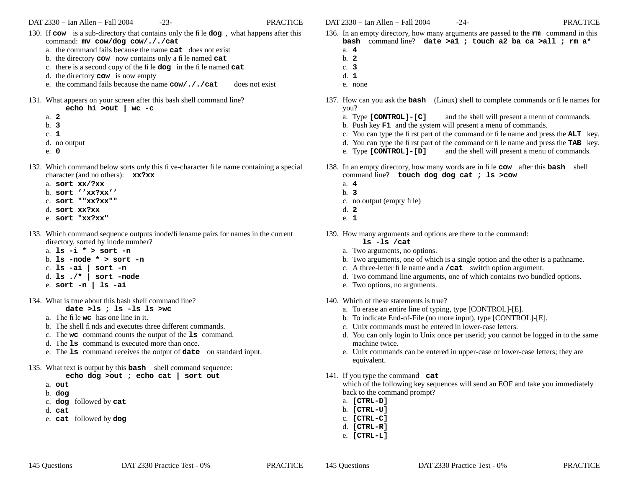- 130. If **cow** is a sub-directory that contains only the file **dog** , what happens after this command: **mv cow/dog cow/././cat**
	- a. the command fails because the name **cat** does not exist
	- b. the directory **cow** now contains only a file named **cat**
	- c. there is a second copy of the file **dog** in the file named **cat**
	- d. the directory **cow** is now empty
	- e. the command fails because the name **cow/././cat** does not exist

131. What appears on your screen after this bash shell command line?

- **echo hi >out | wc -c**
- a. **2**
- b. **3**
- c. **1**
- d. no output
- e. **0**
- 132. Which command below sorts *only* this five-character file name containing a special character (and no others): **xx?xx**
	- a. **sort xx/?xx**
	- b. **sort ''xx?xx''**
	- c. **sort ""xx?xx""**
	- d. **sort xx?xx**
	- e. **sort "xx?xx"**
- 133. Which command sequence outputs inode/filename pairs for names in the current directory, sorted by inode number?
	- a. **ls -i \* > sort -n**
	- b. **ls -node \* > sort -n**
	- c. **ls -ai | sort -n**
	- d. **ls ./\* | sort -node**
	- e. **sort -n | ls -ai**
- 134. What is true about this bash shell command line?
	- **date >ls ; ls -ls ls >wc**
	- a. The file **wc** has one line in it.
	- b. The shell finds and executes three different commands.
	- c. The **wc** command counts the output of the **ls** command.
	- d. The **ls** command is executed more than once.
	- e. The **ls** command receives the output of **date** on standard input.
- 135. What text is output by this **bash** shell command sequence:

# **echo dog >out ; echo cat | sort out**

- a. **out**
- b. **dog**
- c. **dog** followed by **cat**
- d. **cat**
- e. **cat** followed by **dog**

DAT 2330 − Ian Allen − Fall 2004 -24- PRACTICE

- 136. In an empty directory, how many arguments are passed to the **rm** command in this **bash** command line? **date >a1 ; touch a2 ba ca >all ; rm a\***
	- a. **4**
	- b. **2**c. **3**
	- d. **1**
	- e. none
- 137. How can you ask the **bash** (Linux) shell to complete commands or file names for you?
	- a. Type **[CONTROL]-[C]** and the shell will present a menu of commands.
	- b. Push key **F1** and the system will present a menu of commands.
	- c. You can type the first part of the command or file name and press the **ALT** key.
	- d. You can type the first part of the command or file name and press the **TAB** key.
	- e. Type **[CONTROL]-[D]** and the shell will present a menu of commands.
- 138. In an empty directory, how many words are in file **cow** after this **bash** shell command line? **touch dog dog cat ; ls >cow**
	- a. **4**
	- b. **3**
	- c. no output (empty file)
	- d. **2**
	- e. **1**
- 139. How many arguments and options are there to the command:
	- **ls -ls /cat**
	- a. Two arguments, no options.
	- b. Two arguments, one of which is a single option and the other is a pathname.
	- c. A three-letter file name and a **/cat** switch option argument.
	- d. Two command line arguments, one of which contains two bundled options.
	- e. Two options, no arguments.
- 140. Which of these statements is true?
	- a. To erase an entire line of typing, type [CONTROL]-[E].
	- b. To indicate End-of-File (no more input), type [CONTROL]-[E].
	- c. Unix commands must be entered in lower-case letters.
	- d. You can only login to Unix once per userid; you cannot be logged in to the same machine twice.
	- e. Unix commands can be entered in upper-case or lower-case letters; they are equivalent.
- 141. If you type the command **cat**

which of the following key sequences will send an EOF and take you immediately back to the command prompt?

- a. **[CTRL-D]**
- b. **[CTRL-U]**
- c. **[CTRL-C]**
- d. **[CTRL-R]**
- e. **[CTRL-L]**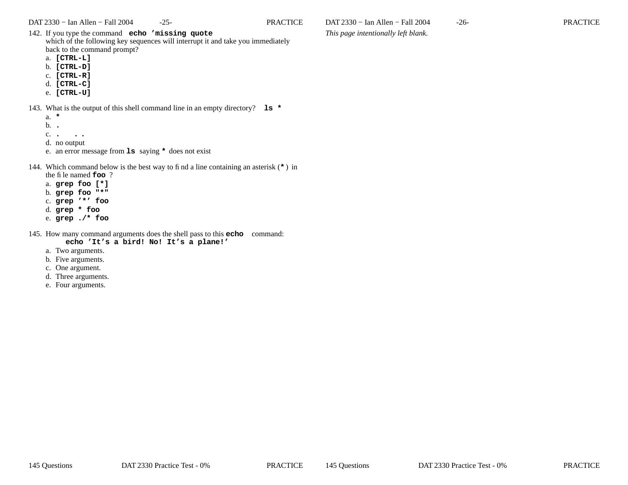142. If you type the command **echo 'missing quote** which of the following key sequences will interrupt it and take you immediately back to the command prompt?

- a. **[CTRL-L]**
- b. **[CTRL-D]**
- c. **[CTRL-R]**
- d. **[CTRL-C]**
- e. **[CTRL-U]**

143. What is the output of this shell command line in an empty directory? **ls \***

- a. **\***
- b. **.**
- c.**. . .**
- d. no output
- e. an error message from **ls** saying **\*** does not exist

## 144. Which command below is the best way to find a line containing an asterisk (**\*** ) in

- the file named **foo** ?
- a. **grep foo [\*]** b. **grep foo "\*"**
- c. **grep '\*' foo**
- d. **grep \* foo**
- e. **grep ./\* foo**
- 145. How many command arguments does the shell pass to this **echo** command: **echo 'It's a bird! No! It's a plane!'**
	- a. Two arguments.
	-
	- b. Five arguments.
	- c. One argument. d. Three arguments.
	- e. Four arguments.